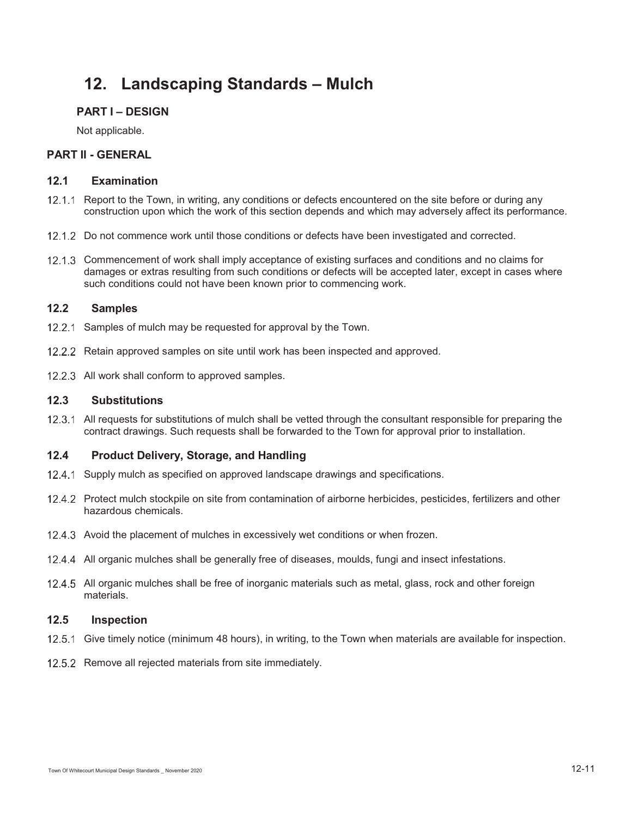# **12. Landscaping Standards – Mulch**

## **PART I – DESIGN**

Not applicable.

## **PART II - GENERAL**

#### **12.1 Examination**

- 12.1.1 Report to the Town, in writing, any conditions or defects encountered on the site before or during any construction upon which the work of this section depends and which may adversely affect its performance.
- 12.1.2 Do not commence work until those conditions or defects have been investigated and corrected.
- 12.1.3 Commencement of work shall imply acceptance of existing surfaces and conditions and no claims for damages or extras resulting from such conditions or defects will be accepted later, except in cases where such conditions could not have been known prior to commencing work.

# **12.2 Samples**

- 12.2.1 Samples of mulch may be requested for approval by the Town.
- 12.2.2 Retain approved samples on site until work has been inspected and approved.
- 12.2.3 All work shall conform to approved samples.

## **12.3 Substitutions**

12.3.1 All requests for substitutions of mulch shall be vetted through the consultant responsible for preparing the contract drawings. Such requests shall be forwarded to the Town for approval prior to installation.

### **12.4 Product Delivery, Storage, and Handling**

- 12.4.1 Supply mulch as specified on approved landscape drawings and specifications.
- 12.4.2 Protect mulch stockpile on site from contamination of airborne herbicides, pesticides, fertilizers and other hazardous chemicals.
- 12.4.3 Avoid the placement of mulches in excessively wet conditions or when frozen.
- 12.4.4 All organic mulches shall be generally free of diseases, moulds, fungi and insect infestations.
- 12.4.5 All organic mulches shall be free of inorganic materials such as metal, glass, rock and other foreign materials.

# **12.5 Inspection**

- 12.5.1 Give timely notice (minimum 48 hours), in writing, to the Town when materials are available for inspection.
- 12.5.2 Remove all rejected materials from site immediately.